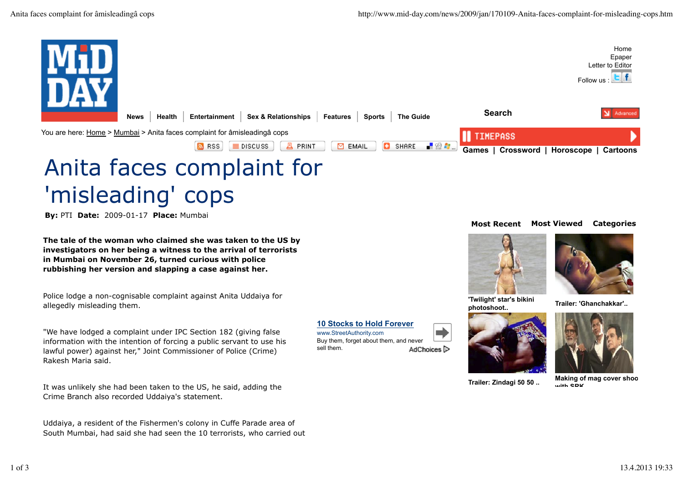

**10 Stocks to Hold Forever**

Buy them, forget about them, and never

AdChoices<sup>1</sup>

www.StreetAuthority.com

sell them.

## 'misleading' cops

**By:** PTI **Date:** 2009-01-17 **Place:** Mumbai

**The tale of the woman who claimed she was taken to the US by investigators on her being a witness to the arrival of terrorists in Mumbai on November 26, turned curious with police rubbishing her version and slapping a case against her.**

Police lodge a non-cognisable complaint against Anita Uddaiya for allegedly misleading them.

"We have lodged a complaint under IPC Section 182 (giving false information with the intention of forcing a public servant to use his lawful power) against her," Joint Commissioner of Police (Crime) Rakesh Maria said.

It was unlikely she had been taken to the US, he said, adding the Crime Branch also recorded Uddaiya's statement.

Uddaiya, a resident of the Fishermen's colony in Cuffe Parade area of South Mumbai, had said she had seen the 10 terrorists, who carried out

## **Most Recent Most Viewed Categories**





**'Twilight' star's bikini photoshoot.. Trailer: 'Ghanchakkar'..**







**Trailer: Zindagi 50 50 .. Making of mag cover shoot with SDK**